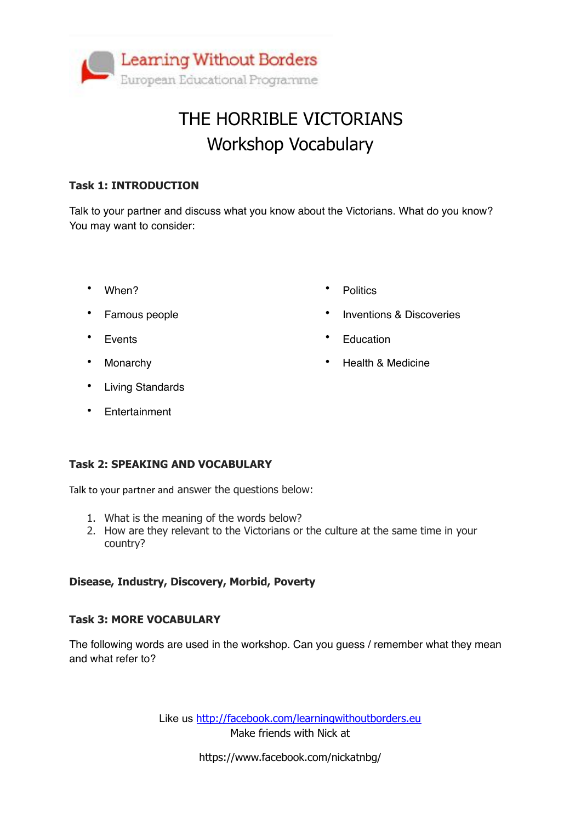

## THE HORRIBLE VICTORIANS Workshop Vocabulary

#### **Task 1: INTRODUCTION**

Talk to your partner and discuss what you know about the Victorians. What do you know? You may want to consider:

• When?

• Politics

- Famous people
- Events
- Monarchy
- Living Standards
- Entertainment
- 
- Inventions & Discoveries
- Education
- Health & Medicine

#### **Task 2: SPEAKING AND VOCABULARY**

Talk to your partner and answer the questions below:

- 1. What is the meaning of the words below?
- 2. How are they relevant to the Victorians or the culture at the same time in your country?

#### **Disease, Industry, Discovery, Morbid, Poverty**

#### **Task 3: MORE VOCABULARY**

The following words are used in the workshop. Can you guess / remember what they mean and what refer to?

> Like us <http://facebook.com/learningwithoutborders.eu> Make friends with Nick at

> > https://www.facebook.com/nickatnbg/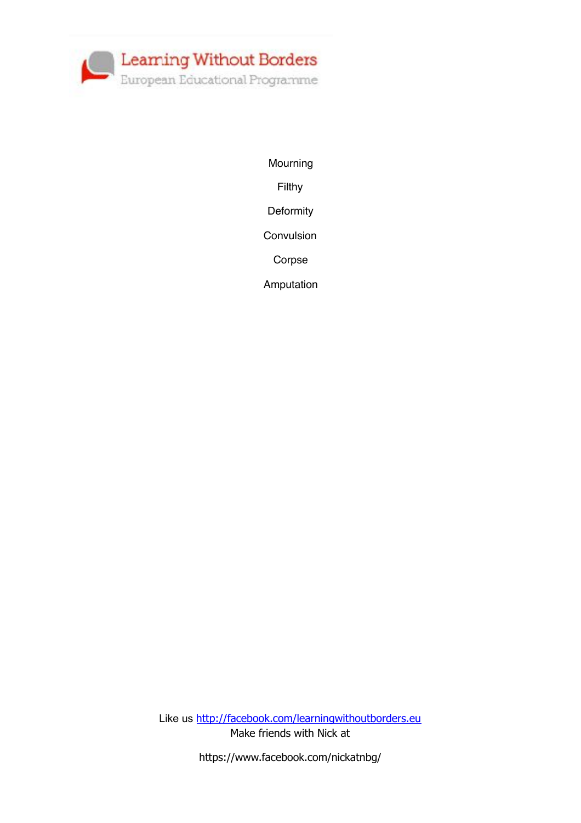

Mourning

Filthy

**Deformity** 

Convulsion

Corpse

Amputation

Like us <http://facebook.com/learningwithoutborders.eu> Make friends with Nick at

https://www.facebook.com/nickatnbg/